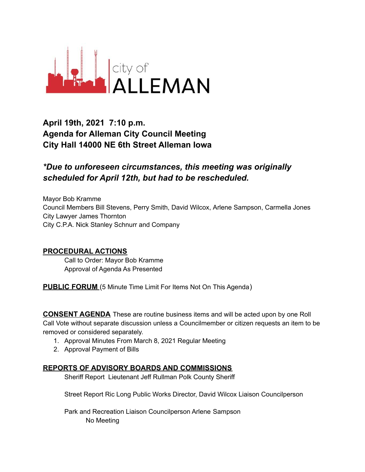

# **April 19th, 2021 7:10 p.m. Agenda for Alleman City Council Meeting City Hall 14000 NE 6th Street Alleman Iowa**

## *\*Due to unforeseen circumstances, this meeting was originally scheduled for April 12th, but had to be rescheduled.*

Mayor Bob Kramme Council Members Bill Stevens, Perry Smith, David Wilcox, Arlene Sampson, Carmella Jones City Lawyer James Thornton City C.P.A. Nick Stanley Schnurr and Company

### **PROCEDURAL ACTIONS**

Call to Order: Mayor Bob Kramme Approval of Agenda As Presented

**PUBLIC FORUM** (5 Minute Time Limit For Items Not On This Agenda)

**CONSENT AGENDA** These are routine business items and will be acted upon by one Roll Call Vote without separate discussion unless a Councilmember or citizen requests an item to be removed or considered separately.

- 1. Approval Minutes From March 8, 2021 Regular Meeting
- 2. Approval Payment of Bills

#### **REPORTS OF ADVISORY BOARDS AND COMMISSIONS**

Sheriff Report Lieutenant Jeff Rullman Polk County Sheriff

Street Report Ric Long Public Works Director, David Wilcox Liaison Councilperson

Park and Recreation Liaison Councilperson Arlene Sampson No Meeting